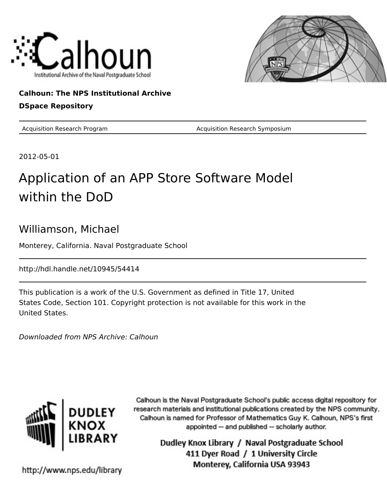



#### **Calhoun: The NPS Institutional Archive DSpace Repository**

Acquisition Research Program **Acquisition Research Symposium** Acquisition Research Symposium

2012-05-01

#### Application of an APP Store Software Model within the DoD

#### Williamson, Michael

Monterey, California. Naval Postgraduate School

http://hdl.handle.net/10945/54414

This publication is a work of the U.S. Government as defined in Title 17, United States Code, Section 101. Copyright protection is not available for this work in the United States.

Downloaded from NPS Archive: Calhoun



Calhoun is the Naval Postgraduate School's public access digital repository for research materials and institutional publications created by the NPS community. Calhoun is named for Professor of Mathematics Guy K. Calhoun, NPS's first appointed -- and published -- scholarly author.

> Dudley Knox Library / Naval Postgraduate School 411 Dyer Road / 1 University Circle Monterey, California USA 93943

http://www.nps.edu/library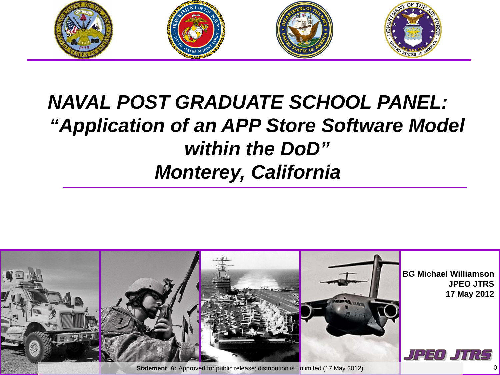

## *NAVAL POST GRADUATE SCHOOL PANEL: "Application of an APP Store Software Model within the DoD" Monterey, California*

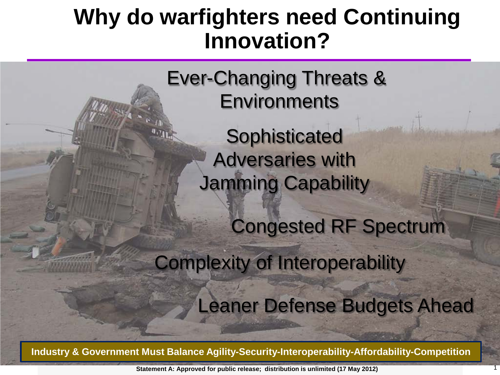# **Why do warfighters need Continuing Innovation?**

Ever-Changing Threats & **Environments** 

> **Sophisticated** Adversaries with Jamming Capability

> > Congested RF Spectrum

Complexity of Interoperability

Leaner Defense Budgets Ahead

**Industry & Government Must Balance Agility-Security-Interoperability-Affordability-Competition**

 **Statement A: Approved for public release; distribution is unlimited (17 May 2012)** 1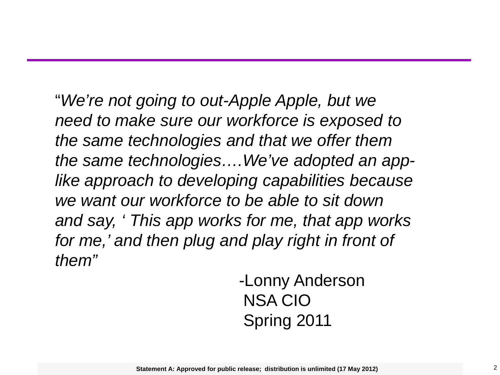"*We're not going to out-Apple Apple, but we need to make sure our workforce is exposed to the same technologies and that we offer them the same technologies….We've adopted an applike approach to developing capabilities because we want our workforce to be able to sit down and say, ' This app works for me, that app works for me,' and then plug and play right in front of them"*

> -Lonny Anderson NSA CIO Spring 2011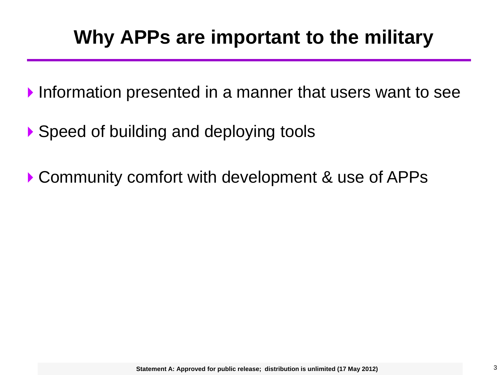## **Why APPs are important to the military**

- Information presented in a manner that users want to see
- ▶ Speed of building and deploying tools
- ▶ Community comfort with development & use of APPs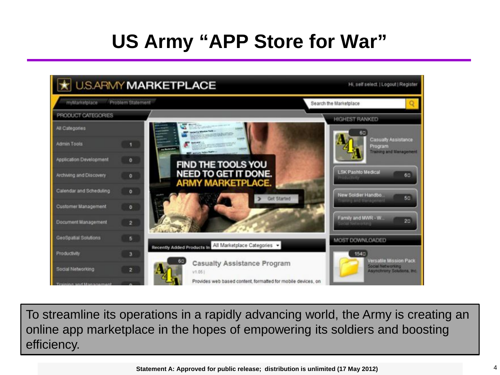## **US Army "APP Store for War"**



To streamline its operations in a rapidly advancing world, the Army is creating an online app marketplace in the hopes of empowering its soldiers and boosting efficiency.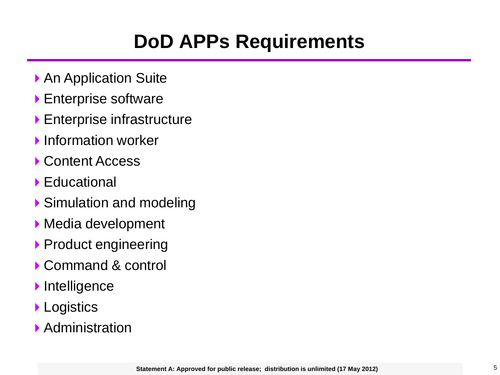## **DoD APPs Requirements**

- ▶ An Application Suite
- **Enterprise software**
- Enterprise infrastructure
- **Information worker**
- ▶ Content Access
- ▶ Educational
- ▶ Simulation and modeling
- Media development
- **Product engineering**
- ▶ Command & control
- **Intelligence**
- **Logistics**
- ▶ Administration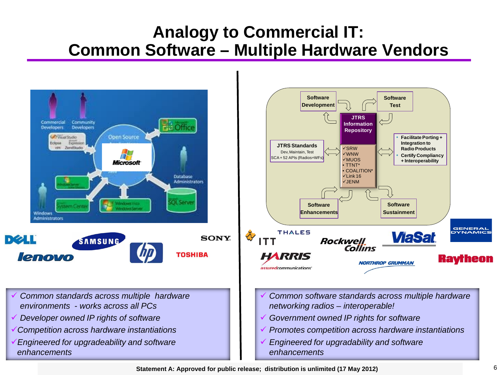#### **Analogy to Commercial IT: Common Software – Multiple Hardware Vendors**

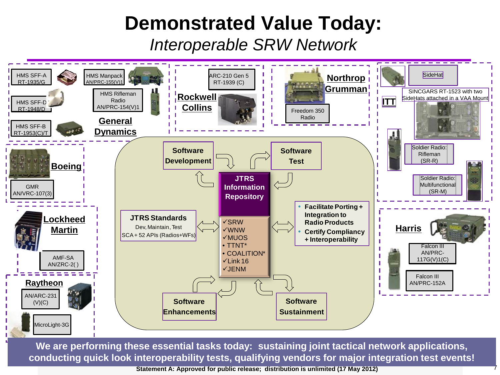#### **Demonstrated Value Today:**

*Interoperable SRW Network*



**We are performing these essential tasks today: sustaining joint tactical network applications, conducting quick look interoperability tests, qualifying vendors for major integration test events!**

 **Statement A: Approved for public release; distribution is unlimited (17 May 2012)** 7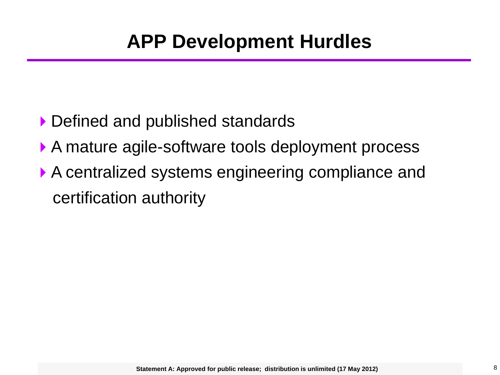- ▶ Defined and published standards
- A mature agile-software tools deployment process
- ▶ A centralized systems engineering compliance and certification authority